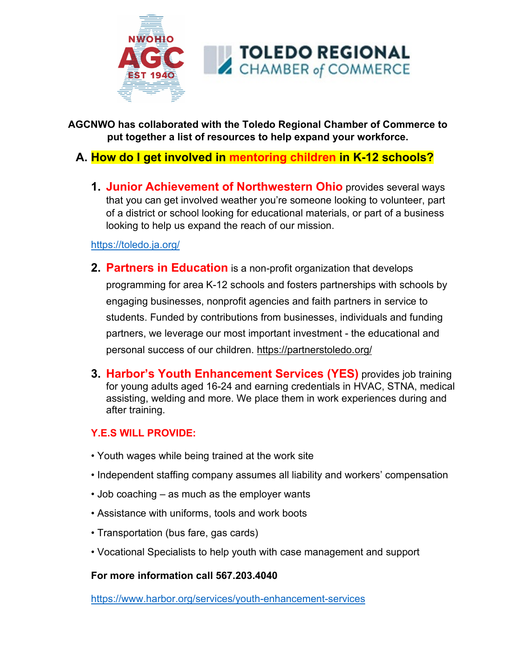

**AGCNWO has collaborated with the Toledo Regional Chamber of Commerce to put together a list of resources to help expand your workforce.** 

# **A. How do I get involved in mentoring children in K-12 schools?**

**1. Junior Achievement of Northwestern Ohio** provides several ways that you can get involved weather you're someone looking to volunteer, part of a district or school looking for educational materials, or part of a business looking to help us expand the reach of our mission.

<https://toledo.ja.org/>

- **2. Partners in Education** is a non-profit organization that develops programming for area K-12 schools and fosters partnerships with schools by engaging businesses, nonprofit agencies and faith partners in service to students. Funded by contributions from businesses, individuals and funding partners, we leverage our most important investment - the educational and personal success of our children. <https://partnerstoledo.org/>
- **3. Harbor's Youth Enhancement Services (YES)** provides job training for young adults aged 16-24 and earning credentials in HVAC, STNA, medical assisting, welding and more. We place them in work experiences during and after training.

## **Y.E.S WILL PROVIDE:**

- Youth wages while being trained at the work site
- Independent staffing company assumes all liability and workers' compensation
- Job coaching as much as the employer wants
- Assistance with uniforms, tools and work boots
- Transportation (bus fare, gas cards)
- Vocational Specialists to help youth with case management and support

#### **For more information call 567.203.4040**

<https://www.harbor.org/services/youth-enhancement-services>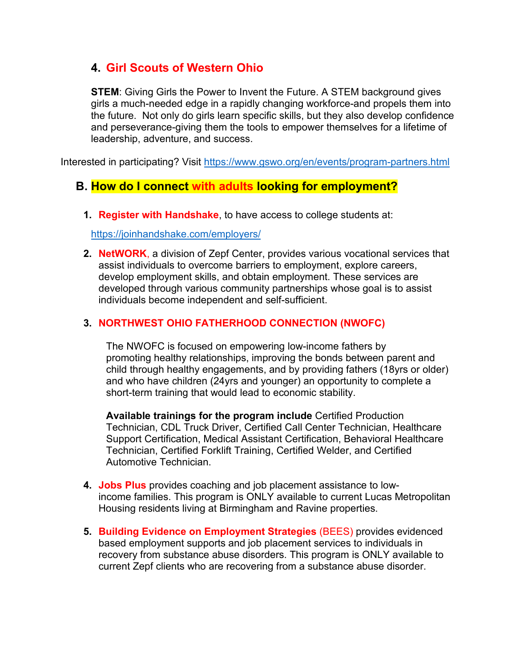# **4. Girl Scouts of Western Ohio**

**STEM**: Giving Girls the Power to Invent the Future. A STEM background gives girls a much-needed edge in a rapidly changing workforce-and propels them into the future. Not only do girls learn specific skills, but they also develop confidence and perseverance-giving them the tools to empower themselves for a lifetime of leadership, adventure, and success.

Interested in participating? Visit<https://www.gswo.org/en/events/program-partners.html>

## **B. How do I connect with adults looking for employment?**

**1. Register with Handshake**, to have access to college students at:

<https://joinhandshake.com/employers/>

**2. NetWORK**, a division of Zepf Center, provides various vocational services that assist individuals to overcome barriers to employment, explore careers, develop employment skills, and obtain employment. These services are developed through various community partnerships whose goal is to assist individuals become independent and self-sufficient.

#### **3. [NORTHWEST OHIO FATHERHOOD CONNECTION \(NWOFC\)](https://www.zepfcenter.org/northwest-ohio-fatherhood-connection/)**

The NWOFC is focused on empowering low-income fathers by promoting healthy relationships, improving the bonds between parent and child through healthy engagements, and by providing fathers (18yrs or older) and who have children (24yrs and younger) an opportunity to complete a short-term training that would lead to economic stability.

**Available trainings for the program include** Certified Production Technician, CDL Truck Driver, Certified Call Center Technician, Healthcare Support Certification, Medical Assistant Certification, Behavioral Healthcare Technician, Certified Forklift Training, Certified Welder, and Certified Automotive Technician.

- **4. Jobs Plus** provides coaching and job placement assistance to lowincome families. This program is ONLY available to current Lucas Metropolitan Housing residents living at Birmingham and Ravine properties.
- **5. Building Evidence on Employment Strategies** (BEES) provides evidenced based employment supports and job placement services to individuals in recovery from substance abuse disorders. This program is ONLY available to current Zepf clients who are recovering from a substance abuse disorder.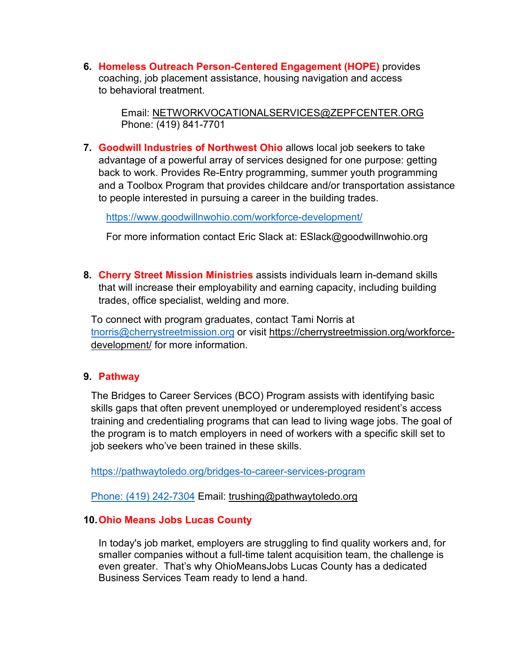**6. Homeless Outreach Person-Centered Engagement (HOPE)** provides coaching, job placement assistance, housing navigation and access to behavioral treatment.

> Email: [NETWORKVOCATIONALSERVICES@ZEPFCENTER.ORG](mailto:NetWORKVocationalServices@zepfcenter.org) Phone: (419) 841-7701

**7. Goodwill Industries of Northwest Ohio** allows local job seekers to take advantage of a powerful array of services designed for one purpose: getting back to work. Provides Re-Entry programming, summer youth programming and a Toolbox Program that provides childcare and/or transportation assistance to people interested in pursuing a career in the building trades.

<https://www.goodwillnwohio.com/workforce-development/>

For more information contact Eric Slack at: ESlack@goodwillnwohio.org

**8. Cherry Street Mission Ministries** assists individuals learn in-demand skills that will increase their employability and earning capacity, including building trades, office specialist, welding and more.

To connect with program graduates, contact Tami Norris at [tnorris@cherrystreetmission.org](mailto:tnorris@cherrystreetmission.org) or visit [https://cherrystreetmission.org/workforce](https://cherrystreetmission.org/workforce-development/)[development/](https://cherrystreetmission.org/workforce-development/) for more information.

#### **9. Pathway**

The Bridges to Career Services (BCO) Program assists with identifying basic skills gaps that often prevent unemployed or underemployed resident's access training and credentialing programs that can lead to living wage jobs. The goal of the program is to match employers in need of workers with a specific skill set to job seekers who've been trained in these skills.

<https://pathwaytoledo.org/bridges-to-career-services-program>

[Phone: \(419\) 242-7304](mailto:Phone:%20(419)%20242-7304) Email: [trushing@pathwaytoledo.org](mailto:trushing@pathwaytoledo.org)

#### **10.Ohio Means Jobs Lucas County**

In today's job market, employers are struggling to find quality workers and, for smaller companies without a full-time talent acquisition team, the challenge is even greater. That's why OhioMeansJobs Lucas County has a dedicated Business Services Team ready to lend a hand.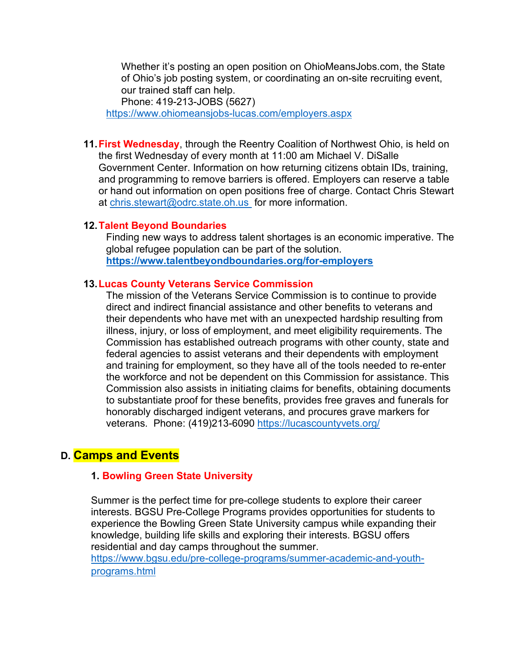Whether it's posting an open position on OhioMeansJobs.com, the State of Ohio's job posting system, or coordinating an on-site recruiting event, our trained staff can help. Phone: 419-213-JOBS (5627)

<https://www.ohiomeansjobs-lucas.com/employers.aspx>

**11.First Wednesday**, through the Reentry Coalition of Northwest Ohio, is held on the first Wednesday of every month at 11:00 am Michael V. DiSalle Government Center. Information on how returning citizens obtain IDs, training, and programming to remove barriers is offered. Employers can reserve a table or hand out information on open positions free of charge. Contact Chris Stewart at [chris.stewart@odrc.state.oh.us](mailto:chris.stewart@odrc.state.oh.us) for more information.

#### **12.Talent Beyond Boundaries**

Finding new ways to address talent shortages is an economic imperative. The global refugee population can be part of the solution. **<https://www.talentbeyondboundaries.org/for-employers>**

#### **13.Lucas County Veterans Service Commission**

The mission of the Veterans Service Commission is to continue to provide direct and indirect financial assistance and other benefits to veterans and their dependents who have met with an unexpected hardship resulting from illness, injury, or loss of employment, and meet eligibility requirements. The Commission has established outreach programs with other county, state and federal agencies to assist veterans and their dependents with employment and training for employment, so they have all of the tools needed to re-enter the workforce and not be dependent on this Commission for assistance. This Commission also assists in initiating claims for benefits, obtaining documents to substantiate proof for these benefits, provides free graves and funerals for honorably discharged indigent veterans, and procures grave markers for veterans. Phone: (419)213-6090 <https://lucascountyvets.org/>

## **D. Camps and Events**

#### **1. Bowling Green State University**

Summer is the perfect time for pre-college students to explore their career interests. BGSU Pre-College Programs provides opportunities for students to experience the Bowling Green State University campus while expanding their knowledge, building life skills and exploring their interests. BGSU offers residential and day camps throughout the summer. [https://www.bgsu.edu/pre-college-programs/summer-academic-and-youth](https://www.bgsu.edu/pre-college-programs/summer-academic-and-youth-programs.html)[programs.html](https://www.bgsu.edu/pre-college-programs/summer-academic-and-youth-programs.html)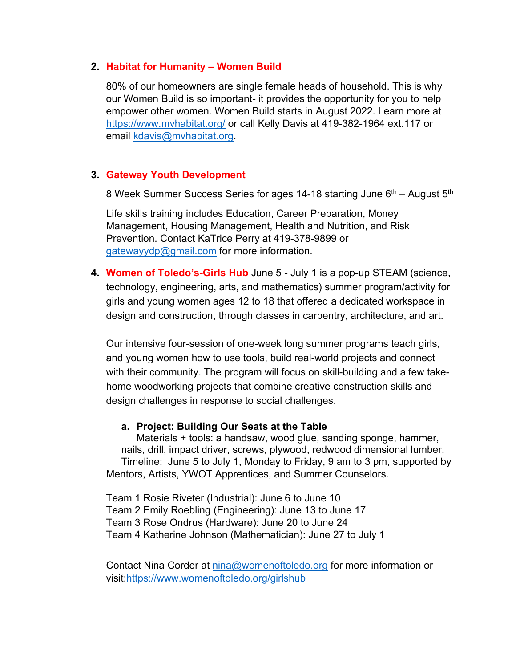#### **2. Habitat for Humanity – Women Build**

80% of our homeowners are single female heads of household. This is why our Women Build is so important- it provides the opportunity for you to help empower other women. Women Build starts in August 2022. Learn more at <https://www.mvhabitat.org/> or call Kelly Davis at 419-382-1964 ext.117 or email [kdavis@mvhabitat.org.](mailto:kdavis@mvhabitat.org)

#### **3. Gateway Youth Development**

8 Week Summer Success Series for ages 14-18 starting June  $6<sup>th</sup>$  – August  $5<sup>th</sup>$ 

Life skills training includes Education, Career Preparation, Money Management, Housing Management, Health and Nutrition, and Risk Prevention. Contact KaTrice Perry at 419-378-9899 or [gatewayydp@gmail.com](mailto:gatewayydp@gmail.com) for more information.

**4. Women of Toledo's-Girls Hub** June 5 - July 1 is a pop-up STEAM (science, technology, engineering, arts, and mathematics) summer program/activity for girls and young women ages 12 to 18 that offered a dedicated workspace in design and construction, through classes in carpentry, architecture, and art.

Our intensive four-session of one-week long summer programs teach girls, and young women how to use tools, build real-world projects and connect with their community. The program will focus on skill-building and a few takehome woodworking projects that combine creative construction skills and design challenges in response to social challenges.

#### **a. Project: Building Our Seats at the Table**

Materials + tools: a handsaw, wood glue, sanding sponge, hammer, nails, drill, impact driver, screws, plywood, redwood dimensional lumber. Timeline: June 5 to July 1, Monday to Friday, 9 am to 3 pm, supported by Mentors, Artists, YWOT Apprentices, and Summer Counselors.

Team 1 Rosie Riveter (Industrial): June 6 to June 10 Team 2 Emily Roebling (Engineering): June 13 to June 17 Team 3 Rose Ondrus (Hardware): June 20 to June 24 Team 4 Katherine Johnson (Mathematician): June 27 to July 1

Contact Nina Corder at [nina@womenoftoledo.org](mailto:nina@womenoftoledo.org) for more information or visit[:https://www.womenoftoledo.org/girlshub](https://www.womenoftoledo.org/girlshub)